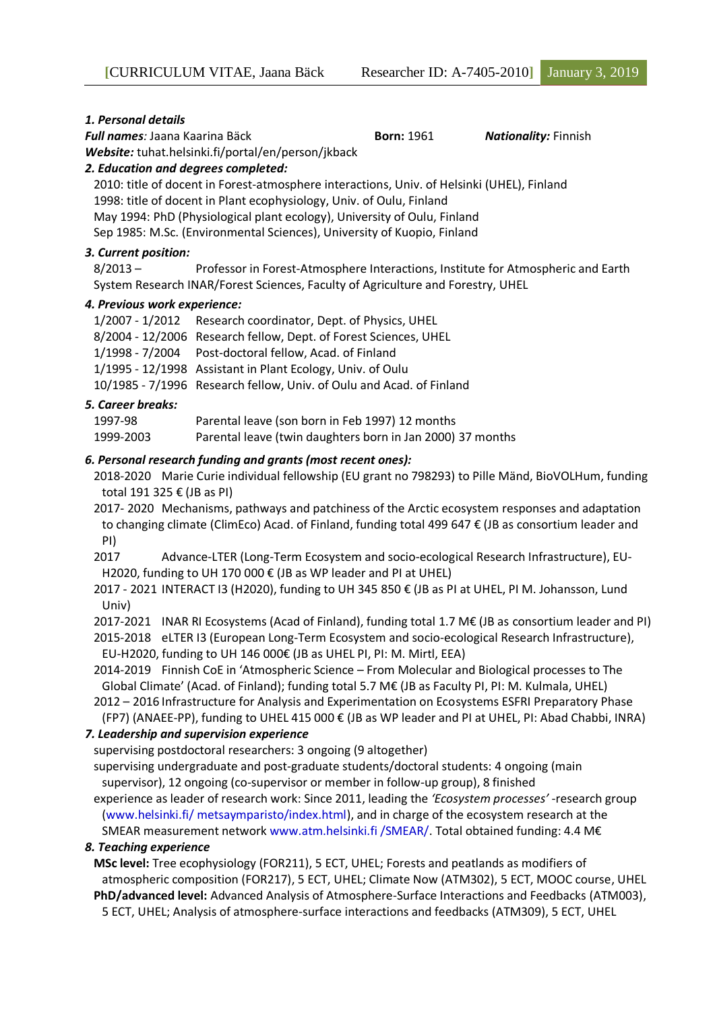#### *1. Personal details*

*Full names:* Jaana Kaarina Bäck **Born:** 1961 *Nationality:* Finnish

*Website:* tuhat.helsinki.fi/portal/en/person/jkback

*2. Education and degrees completed:*

2010: title of docent in Forest-atmosphere interactions, Univ. of Helsinki (UHEL), Finland 1998: title of docent in Plant ecophysiology, Univ. of Oulu, Finland May 1994: PhD (Physiological plant ecology), University of Oulu, Finland Sep 1985: M.Sc. (Environmental Sciences), University of Kuopio, Finland

# *3. Current position:*

8/2013 – Professor in Forest-Atmosphere Interactions, Institute for Atmospheric and Earth System Research INAR/Forest Sciences, Faculty of Agriculture and Forestry, UHEL

### *4. Previous work experience:*

| 1/2007 - 1/2012 Research coordinator, Dept. of Physics, UHEL         |
|----------------------------------------------------------------------|
| 8/2004 - 12/2006 Research fellow, Dept. of Forest Sciences, UHEL     |
| 1/1998 - 7/2004 Post-doctoral fellow, Acad. of Finland               |
| 1/1995 - 12/1998 Assistant in Plant Ecology, Univ. of Oulu           |
| 10/1985 - 7/1996 Research fellow, Univ. of Oulu and Acad. of Finland |

# *5. Career breaks:*

| 1997-98   | Parental leave (son born in Feb 1997) 12 months            |
|-----------|------------------------------------------------------------|
| 1999-2003 | Parental leave (twin daughters born in Jan 2000) 37 months |

### *6. Personal research funding and grants (most recent ones):*

- 2018-2020 Marie Curie individual fellowship (EU grant no 798293) to Pille Mänd, BioVOLHum, funding total 191 325 € (JB as PI)
- 2017- 2020 Mechanisms, pathways and patchiness of the Arctic ecosystem responses and adaptation to changing climate (ClimEco) Acad. of Finland, funding total 499 647 € (JB as consortium leader and PI)

2017 Advance-LTER (Long-Term Ecosystem and socio-ecological Research Infrastructure), EU-H2020, funding to UH 170 000 € (JB as WP leader and PI at UHEL)

- 2017 2021 INTERACT I3 (H2020), funding to UH 345 850 € (JB as PI at UHEL, PI M. Johansson, Lund Univ)
- 2017-2021 INAR RI Ecosystems (Acad of Finland), funding total 1.7 M€ (JB as consortium leader and PI)
- 2015-2018 eLTER I3 (European Long-Term Ecosystem and socio-ecological Research Infrastructure), EU-H2020, funding to UH 146 000€ (JB as UHEL PI, PI: M. Mirtl, EEA)
- 2014-2019 Finnish CoE in 'Atmospheric Science From Molecular and Biological processes to The Global Climate' (Acad. of Finland); funding total 5.7 M€ (JB as Faculty PI, PI: M. Kulmala, UHEL)

2012 – 2016 Infrastructure for Analysis and Experimentation on Ecosystems ESFRI Preparatory Phase (FP7) (ANAEE-PP), funding to UHEL 415 000 € (JB as WP leader and PI at UHEL, PI: Abad Chabbi, INRA)

# *7. Leadership and supervision experience*

supervising postdoctoral researchers: 3 ongoing (9 altogether)

supervising undergraduate and post-graduate students/doctoral students: 4 ongoing (main supervisor), 12 ongoing (co-supervisor or member in follow-up group), 8 finished

experience as leader of research work: Since 2011, leading the *'Ecosystem processes'* -research group [\(www.helsinki.fi/ metsaymparisto/index.html\)](http://www.helsinki.fi/%20metsaymparisto/index.html), and in charge of the ecosystem research at the SMEAR measurement network www.atm.helsinki.fi /SMEAR/. Total obtained funding: 4.4 M€

# *8. Teaching experience*

**MSc level:** Tree ecophysiology (FOR211), 5 ECT, UHEL; Forests and peatlands as modifiers of atmospheric composition (FOR217), 5 ECT, UHEL; Climate Now (ATM302), 5 ECT, MOOC course, UHEL **PhD/advanced level:** Advanced Analysis of Atmosphere-Surface Interactions and Feedbacks (ATM003), 5 ECT, UHEL; Analysis of atmosphere-surface interactions and feedbacks (ATM309), 5 ECT, UHEL